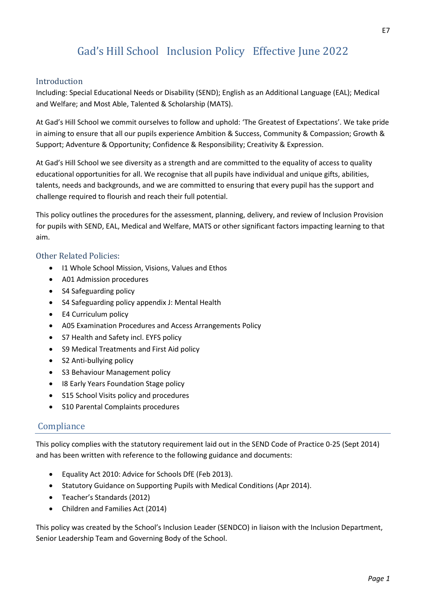# Gad's Hill School Inclusion Policy Effective June 2022

#### Introduction

Including: Special Educational Needs or Disability (SEND); English as an Additional Language (EAL); Medical and Welfare; and Most Able, Talented & Scholarship (MATS).

At Gad's Hill School we commit ourselves to follow and uphold: 'The Greatest of Expectations'. We take pride in aiming to ensure that all our pupils experience Ambition & Success, Community & Compassion; Growth & Support; Adventure & Opportunity; Confidence & Responsibility; Creativity & Expression.

At Gad's Hill School we see diversity as a strength and are committed to the equality of access to quality educational opportunities for all. We recognise that all pupils have individual and unique gifts, abilities, talents, needs and backgrounds, and we are committed to ensuring that every pupil has the support and challenge required to flourish and reach their full potential.

This policy outlines the procedures for the assessment, planning, delivery, and review of Inclusion Provision for pupils with SEND, EAL, Medical and Welfare, MATS or other significant factors impacting learning to that aim.

#### Other Related Policies:

- I[1 Whole School Mission, Visions, Values and Ethos](http://www.gadshill.org/wp-content/uploads/2017/10/GHS-Whole-School-Mission-Visions-Values-and-Ethos-Aug-17.pdf)
- A0[1 Admission procedures](http://www.gadshill.org/wp-content/uploads/2017/10/GHS-Admission-procedures-Sep-17.pdf)
- S4 [Safeguarding policy](http://www.gadshill.org/wp-content/uploads/2017/10/GHS-Safeguarding-policy-Sep-16-1.pdf)
- S4 Safeguarding policy appendix J: Mental Health
- E4 [Curriculum policy](http://www.gadshill.org/wp-content/uploads/2017/10/GHS-Curriculum-policy-Sep-17.pdf)
- A05 Examination Procedures and Access Arrangements Policy
- S7 [Health and Safety incl. EYFS policy](http://www.gadshill.org/wp-content/uploads/2017/10/GHS-Health-and-Safety-incl.-EYFS-policy-May-17.pdf)
- S9 [Medical Treatments and First Aid policy](http://www.gadshill.org/wp-content/uploads/2017/10/GHS-Medical-Treatments-and-First-Aid-policy-Mar-17.pdf)
- S2 [Anti-bullying policy](http://www.gadshill.org/wp-content/uploads/2017/10/GHS-Anti-bullying-policy-Sep-17.pdf)
- S3 [Behaviour Management policy](http://www.gadshill.org/wp-content/uploads/2017/10/GHS-Behaviour-Management-policy-Mar-17.pdf)
- I[8 Early Years Foundation Stage policy](http://www.gadshill.org/wp-content/uploads/2017/10/GHS-Early-Years-Foundation-Stage-policy-Aug-17.pdf)
- S15 [School Visits policy and procedures](http://www.gadshill.org/wp-content/uploads/2017/10/GHS-School-Visits-policy-and-procedures-Mar-17.pdf)
- S10 [Parental Complaints procedures](http://www.gadshill.org/wp-content/uploads/2017/10/GHS-Parental-Complaints-procedures-Oct-17.pdf)

#### **Compliance**

This policy complies with the statutory requirement laid out in the SEND Code of Practice 0-25 (Sept 2014) and has been written with reference to the following guidance and documents:

- Equality Act 2010: Advice for Schools DfE (Feb 2013).
- Statutory Guidance on Supporting Pupils with Medical Conditions (Apr 2014).
- Teacher's Standards (2012)
- Children and Families Act (2014)

This policy was created by the School's Inclusion Leader (SENDCO) in liaison with the Inclusion Department, Senior Leadership Team and Governing Body of the School.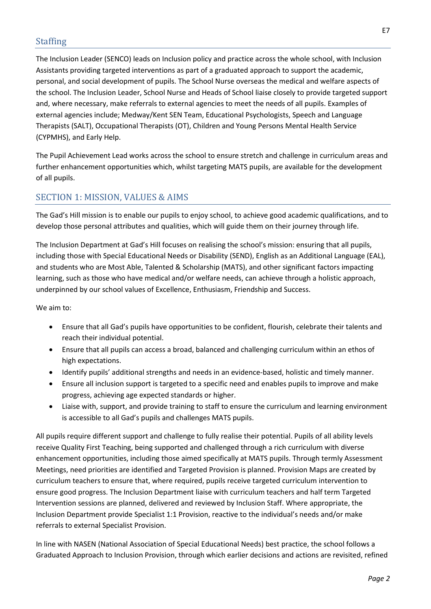The Inclusion Leader (SENCO) leads on Inclusion policy and practice across the whole school, with Inclusion Assistants providing targeted interventions as part of a graduated approach to support the academic, personal, and social development of pupils. The School Nurse overseas the medical and welfare aspects of the school. The Inclusion Leader, School Nurse and Heads of School liaise closely to provide targeted support and, where necessary, make referrals to external agencies to meet the needs of all pupils. Examples of external agencies include; Medway/Kent SEN Team, Educational Psychologists, Speech and Language Therapists (SALT), Occupational Therapists (OT), Children and Young Persons Mental Health Service (CYPMHS), and Early Help.

The Pupil Achievement Lead works across the school to ensure stretch and challenge in curriculum areas and further enhancement opportunities which, whilst targeting MATS pupils, are available for the development of all pupils.

## SECTION 1: MISSION, VALUES & AIMS

The Gad's Hill mission is to enable our pupils to enjoy school, to achieve good academic qualifications, and to develop those personal attributes and qualities, which will guide them on their journey through life.

The Inclusion Department at Gad's Hill focuses on realising the school's mission: ensuring that all pupils, including those with Special Educational Needs or Disability (SEND), English as an Additional Language (EAL), and students who are Most Able, Talented & Scholarship (MATS), and other significant factors impacting learning, such as those who have medical and/or welfare needs, can achieve through a holistic approach, underpinned by our school values of Excellence, Enthusiasm, Friendship and Success.

We aim to:

- Ensure that all Gad's pupils have opportunities to be confident, flourish, celebrate their talents and reach their individual potential.
- Ensure that all pupils can access a broad, balanced and challenging curriculum within an ethos of high expectations.
- Identify pupils' additional strengths and needs in an evidence-based, holistic and timely manner.
- Ensure all inclusion support is targeted to a specific need and enables pupils to improve and make progress, achieving age expected standards or higher.
- Liaise with, support, and provide training to staff to ensure the curriculum and learning environment is accessible to all Gad's pupils and challenges MATS pupils.

All pupils require different support and challenge to fully realise their potential. Pupils of all ability levels receive Quality First Teaching, being supported and challenged through a rich curriculum with diverse enhancement opportunities, including those aimed specifically at MATS pupils. Through termly Assessment Meetings, need priorities are identified and Targeted Provision is planned. Provision Maps are created by curriculum teachers to ensure that, where required, pupils receive targeted curriculum intervention to ensure good progress. The Inclusion Department liaise with curriculum teachers and half term Targeted Intervention sessions are planned, delivered and reviewed by Inclusion Staff. Where appropriate, the Inclusion Department provide Specialist 1:1 Provision, reactive to the individual's needs and/or make referrals to external Specialist Provision.

In line with NASEN (National Association of Special Educational Needs) best practice, the school follows a Graduated Approach to Inclusion Provision, through which earlier decisions and actions are revisited, refined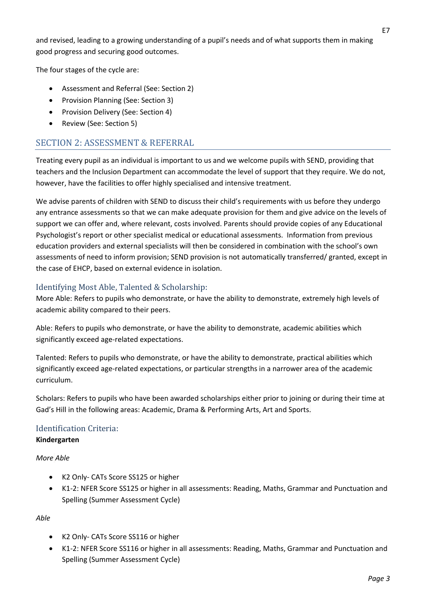and revised, leading to a growing understanding of a pupil's needs and of what supports them in making good progress and securing good outcomes.

The four stages of the cycle are:

- Assessment and Referral (See: Section 2)
- Provision Planning (See: Section 3)
- Provision Delivery (See: Section 4)
- Review (See: Section 5)

## SECTION 2: ASSESSMENT & REFERRAL

Treating every pupil as an individual is important to us and we welcome pupils with SEND, providing that teachers and the Inclusion Department can accommodate the level of support that they require. We do not, however, have the facilities to offer highly specialised and intensive treatment.

We advise parents of children with SEND to discuss their child's requirements with us before they undergo any entrance assessments so that we can make adequate provision for them and give advice on the levels of support we can offer and, where relevant, costs involved. Parents should provide copies of any Educational Psychologist's report or other specialist medical or educational assessments. Information from previous education providers and external specialists will then be considered in combination with the school's own assessments of need to inform provision; SEND provision is not automatically transferred/ granted, except in the case of EHCP, based on external evidence in isolation.

## Identifying Most Able, Talented & Scholarship:

More Able: Refers to pupils who demonstrate, or have the ability to demonstrate, extremely high levels of academic ability compared to their peers.

Able: Refers to pupils who demonstrate, or have the ability to demonstrate, academic abilities which significantly exceed age-related expectations.

Talented: Refers to pupils who demonstrate, or have the ability to demonstrate, practical abilities which significantly exceed age-related expectations, or particular strengths in a narrower area of the academic curriculum.

Scholars: Refers to pupils who have been awarded scholarships either prior to joining or during their time at Gad's Hill in the following areas: Academic, Drama & Performing Arts, Art and Sports.

## Identification Criteria:

#### **Kindergarten**

*More Able*

- K2 Only- CATs Score SS125 or higher
- K1-2: NFER Score SS125 or higher in all assessments: Reading, Maths, Grammar and Punctuation and Spelling (Summer Assessment Cycle)

*Able*

- K2 Only- CATs Score SS116 or higher
- K1-2: NFER Score SS116 or higher in all assessments: Reading, Maths, Grammar and Punctuation and Spelling (Summer Assessment Cycle)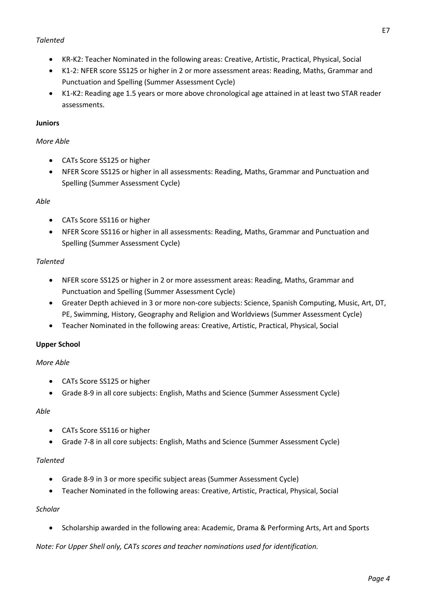#### *Talented*

- KR-K2: Teacher Nominated in the following areas: Creative, Artistic, Practical, Physical, Social
- K1-2: NFER score SS125 or higher in 2 or more assessment areas: Reading, Maths, Grammar and Punctuation and Spelling (Summer Assessment Cycle)
- K1-K2: Reading age 1.5 years or more above chronological age attained in at least two STAR reader assessments.

#### **Juniors**

#### *More Able*

- CATs Score SS125 or higher
- NFER Score SS125 or higher in all assessments: Reading, Maths, Grammar and Punctuation and Spelling (Summer Assessment Cycle)

#### *Able*

- CATs Score SS116 or higher
- NFER Score SS116 or higher in all assessments: Reading, Maths, Grammar and Punctuation and Spelling (Summer Assessment Cycle)

#### *Talented*

- NFER score SS125 or higher in 2 or more assessment areas: Reading, Maths, Grammar and Punctuation and Spelling (Summer Assessment Cycle)
- Greater Depth achieved in 3 or more non-core subjects: Science, Spanish Computing, Music, Art, DT, PE, Swimming, History, Geography and Religion and Worldviews (Summer Assessment Cycle)
- Teacher Nominated in the following areas: Creative, Artistic, Practical, Physical, Social

#### **Upper School**

#### *More Able*

- CATs Score SS125 or higher
- Grade 8-9 in all core subjects: English, Maths and Science (Summer Assessment Cycle)

#### *Able*

- CATs Score SS116 or higher
- Grade 7-8 in all core subjects: English, Maths and Science (Summer Assessment Cycle)

#### *Talented*

- Grade 8-9 in 3 or more specific subject areas (Summer Assessment Cycle)
- Teacher Nominated in the following areas: Creative, Artistic, Practical, Physical, Social

#### *Scholar*

Scholarship awarded in the following area: Academic, Drama & Performing Arts, Art and Sports

*Note: For Upper Shell only, CATs scores and teacher nominations used for identification.*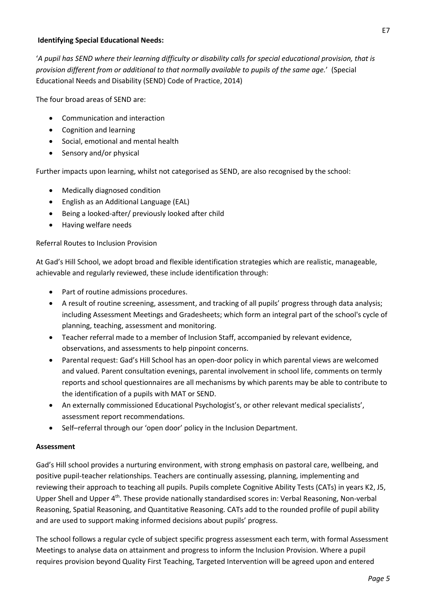#### **Identifying Special Educational Needs:**

'*A pupil has SEND where their learning difficulty or disability calls for special educational provision, that is provision different from or additional to that normally available to pupils of the same age.*' (Special Educational Needs and Disability (SEND) Code of Practice, 2014)

The four broad areas of SEND are:

- Communication and interaction
- Cognition and learning
- Social, emotional and mental health
- Sensory and/or physical

Further impacts upon learning, whilst not categorised as SEND, are also recognised by the school:

- Medically diagnosed condition
- English as an Additional Language (EAL)
- Being a looked-after/ previously looked after child
- Having welfare needs

#### Referral Routes to Inclusion Provision

At Gad's Hill School, we adopt broad and flexible identification strategies which are realistic, manageable, achievable and regularly reviewed, these include identification through:

- Part of routine admissions procedures.
- A result of routine screening, assessment, and tracking of all pupils' progress through data analysis; including Assessment Meetings and Gradesheets; which form an integral part of the school's cycle of planning, teaching, assessment and monitoring.
- Teacher referral made to a member of Inclusion Staff, accompanied by relevant evidence, observations, and assessments to help pinpoint concerns.
- Parental request: Gad's Hill School has an open-door policy in which parental views are welcomed and valued. Parent consultation evenings, parental involvement in school life, comments on termly reports and school questionnaires are all mechanisms by which parents may be able to contribute to the identification of a pupils with MAT or SEND.
- An externally commissioned Educational Psychologist's, or other relevant medical specialists', assessment report recommendations.
- Self–referral through our 'open door' policy in the Inclusion Department.

#### **Assessment**

Gad's Hill school provides a nurturing environment, with strong emphasis on pastoral care, wellbeing, and positive pupil-teacher relationships. Teachers are continually assessing, planning, implementing and reviewing their approach to teaching all pupils. Pupils complete Cognitive Ability Tests (CATs) in years K2, J5, Upper Shell and Upper 4<sup>th</sup>. These provide nationally standardised scores in: Verbal Reasoning, Non-verbal Reasoning, Spatial Reasoning, and Quantitative Reasoning. CATs add to the rounded profile of pupil ability and are used to support making informed decisions about pupils' progress.

The school follows a regular cycle of subject specific progress assessment each term, with formal Assessment Meetings to analyse data on attainment and progress to inform the Inclusion Provision. Where a pupil requires provision beyond Quality First Teaching, Targeted Intervention will be agreed upon and entered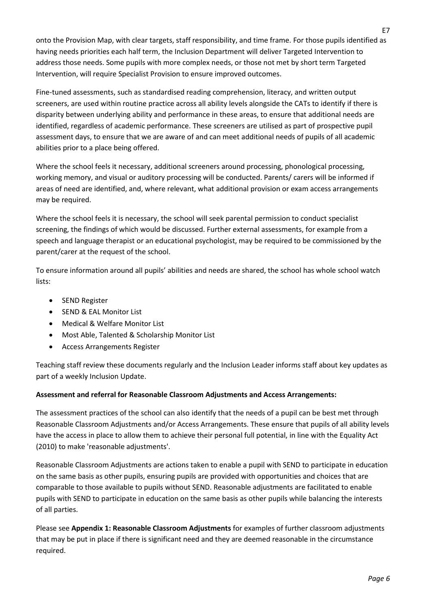onto the Provision Map, with clear targets, staff responsibility, and time frame. For those pupils identified as having needs priorities each half term, the Inclusion Department will deliver Targeted Intervention to address those needs. Some pupils with more complex needs, or those not met by short term Targeted Intervention, will require Specialist Provision to ensure improved outcomes.

Fine-tuned assessments, such as standardised reading comprehension, literacy, and written output screeners, are used within routine practice across all ability levels alongside the CATs to identify if there is disparity between underlying ability and performance in these areas, to ensure that additional needs are identified, regardless of academic performance. These screeners are utilised as part of prospective pupil assessment days, to ensure that we are aware of and can meet additional needs of pupils of all academic abilities prior to a place being offered.

Where the school feels it necessary, additional screeners around processing, phonological processing, working memory, and visual or auditory processing will be conducted. Parents/ carers will be informed if areas of need are identified, and, where relevant, what additional provision or exam access arrangements may be required.

Where the school feels it is necessary, the school will seek parental permission to conduct specialist screening, the findings of which would be discussed. Further external assessments, for example from a speech and language therapist or an educational psychologist, may be required to be commissioned by the parent/carer at the request of the school.

To ensure information around all pupils' abilities and needs are shared, the school has whole school watch lists:

- SEND Register
- SEND & EAL Monitor List
- Medical & Welfare Monitor List
- Most Able, Talented & Scholarship Monitor List
- Access Arrangements Register

Teaching staff review these documents regularly and the Inclusion Leader informs staff about key updates as part of a weekly Inclusion Update.

#### **Assessment and referral for Reasonable Classroom Adjustments and Access Arrangements:**

The assessment practices of the school can also identify that the needs of a pupil can be best met through Reasonable Classroom Adjustments and/or Access Arrangements. These ensure that pupils of all ability levels have the access in place to allow them to achieve their personal full potential, in line with the Equality Act (2010) to make 'reasonable adjustments'.

Reasonable Classroom Adjustments are actions taken to enable a pupil with SEND to participate in education on the same basis as other pupils, ensuring pupils are provided with opportunities and choices that are comparable to those available to pupils without SEND. Reasonable adjustments are facilitated to enable pupils with SEND to participate in education on the same basis as other pupils while balancing the interests of all parties.

Please see **Appendix 1: Reasonable Classroom Adjustments** for examples of further classroom adjustments that may be put in place if there is significant need and they are deemed reasonable in the circumstance required.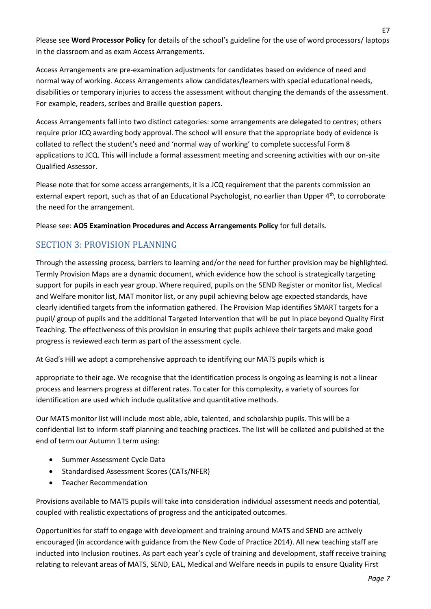Please see **Word Processor Policy** for details of the school's guideline for the use of word processors/ laptops in the classroom and as exam Access Arrangements.

Access Arrangements are pre-examination adjustments for candidates based on evidence of need and normal way of working. Access Arrangements allow candidates/learners with special educational needs, disabilities or temporary injuries to access the assessment without changing the demands of the assessment. For example, readers, scribes and Braille question papers.

Access Arrangements fall into two distinct categories: some arrangements are delegated to centres; others require prior JCQ awarding body approval. The school will ensure that the appropriate body of evidence is collated to reflect the student's need and 'normal way of working' to complete successful Form 8 applications to JCQ. This will include a formal assessment meeting and screening activities with our on-site Qualified Assessor.

Please note that for some access arrangements, it is a JCQ requirement that the parents commission an external expert report, such as that of an Educational Psychologist, no earlier than Upper 4<sup>th</sup>, to corroborate the need for the arrangement.

Please see: **AO5 Examination Procedures and Access Arrangements Policy** for full details.

## SECTION 3: PROVISION PLANNING

Through the assessing process, barriers to learning and/or the need for further provision may be highlighted. Termly Provision Maps are a dynamic document, which evidence how the school is strategically targeting support for pupils in each year group. Where required, pupils on the SEND Register or monitor list, Medical and Welfare monitor list, MAT monitor list, or any pupil achieving below age expected standards, have clearly identified targets from the information gathered. The Provision Map identifies SMART targets for a pupil/ group of pupils and the additional Targeted Intervention that will be put in place beyond Quality First Teaching. The effectiveness of this provision in ensuring that pupils achieve their targets and make good progress is reviewed each term as part of the assessment cycle.

At Gad's Hill we adopt a comprehensive approach to identifying our MATS pupils which is

appropriate to their age. We recognise that the identification process is ongoing as learning is not a linear process and learners progress at different rates. To cater for this complexity, a variety of sources for identification are used which include qualitative and quantitative methods.

Our MATS monitor list will include most able, able, talented, and scholarship pupils. This will be a confidential list to inform staff planning and teaching practices. The list will be collated and published at the end of term our Autumn 1 term using:

- Summer Assessment Cycle Data
- Standardised Assessment Scores (CATs/NFER)
- Teacher Recommendation

Provisions available to MATS pupils will take into consideration individual assessment needs and potential, coupled with realistic expectations of progress and the anticipated outcomes.

Opportunities for staff to engage with development and training around MATS and SEND are actively encouraged (in accordance with guidance from the New Code of Practice 2014). All new teaching staff are inducted into Inclusion routines. As part each year's cycle of training and development, staff receive training relating to relevant areas of MATS, SEND, EAL, Medical and Welfare needs in pupils to ensure Quality First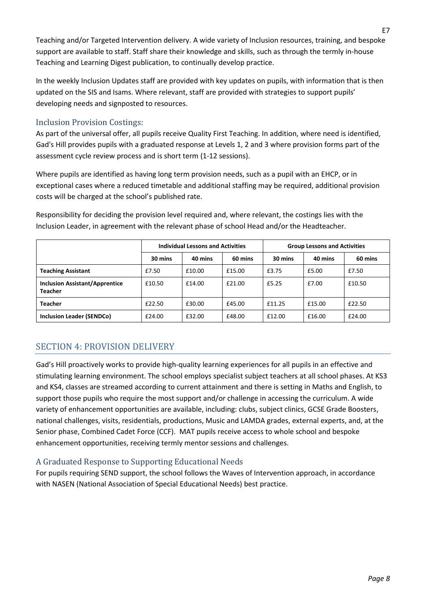Teaching and/or Targeted Intervention delivery. A wide variety of Inclusion resources, training, and bespoke support are available to staff. Staff share their knowledge and skills, such as through the termly in-house Teaching and Learning Digest publication, to continually develop practice.

In the weekly Inclusion Updates staff are provided with key updates on pupils, with information that is then updated on the SIS and Isams. Where relevant, staff are provided with strategies to support pupils' developing needs and signposted to resources.

### Inclusion Provision Costings:

As part of the universal offer, all pupils receive Quality First Teaching. In addition, where need is identified, Gad's Hill provides pupils with a graduated response at Levels 1, 2 and 3 where provision forms part of the assessment cycle review process and is short term (1-12 sessions).

Where pupils are identified as having long term provision needs, such as a pupil with an EHCP, or in exceptional cases where a reduced timetable and additional staffing may be required, additional provision costs will be charged at the school's published rate.

Responsibility for deciding the provision level required and, where relevant, the costings lies with the Inclusion Leader, in agreement with the relevant phase of school Head and/or the Headteacher.

|                                                         | <b>Individual Lessons and Activities</b> |         |         | <b>Group Lessons and Activities</b> |         |         |
|---------------------------------------------------------|------------------------------------------|---------|---------|-------------------------------------|---------|---------|
|                                                         | 30 mins                                  | 40 mins | 60 mins | 30 mins                             | 40 mins | 60 mins |
| <b>Teaching Assistant</b>                               | £7.50                                    | £10.00  | £15.00  | £3.75                               | £5.00   | £7.50   |
| <b>Inclusion Assistant/Apprentice</b><br><b>Teacher</b> | £10.50                                   | £14.00  | £21.00  | £5.25                               | £7.00   | £10.50  |
| <b>Teacher</b>                                          | £22.50                                   | £30.00  | £45.00  | £11.25                              | £15.00  | £22.50  |
| <b>Inclusion Leader (SENDCo)</b>                        | £24.00                                   | £32.00  | £48.00  | £12.00                              | £16.00  | £24.00  |

## SECTION 4: PROVISION DELIVERY

Gad's Hill proactively works to provide high-quality learning experiences for all pupils in an effective and stimulating learning environment. The school employs specialist subject teachers at all school phases. At KS3 and KS4, classes are streamed according to current attainment and there is setting in Maths and English, to support those pupils who require the most support and/or challenge in accessing the curriculum. A wide variety of enhancement opportunities are available, including: clubs, subject clinics, GCSE Grade Boosters, national challenges, visits, residentials, productions, Music and LAMDA grades, external experts, and, at the Senior phase, Combined Cadet Force (CCF). MAT pupils receive access to whole school and bespoke enhancement opportunities, receiving termly mentor sessions and challenges.

## A Graduated Response to Supporting Educational Needs

For pupils requiring SEND support, the school follows the Waves of Intervention approach, in accordance with NASEN (National Association of Special Educational Needs) best practice.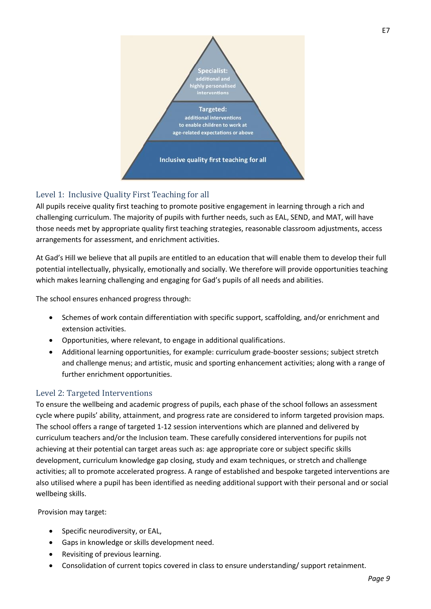

## Level 1: Inclusive Quality First Teaching for all

All pupils receive quality first teaching to promote positive engagement in learning through a rich and challenging curriculum. The majority of pupils with further needs, such as EAL, SEND, and MAT, will have those needs met by appropriate quality first teaching strategies, reasonable classroom adjustments, access arrangements for assessment, and enrichment activities.

At Gad's Hill we believe that all pupils are entitled to an education that will enable them to develop their full potential intellectually, physically, emotionally and socially. We therefore will provide opportunities teaching which makes learning challenging and engaging for Gad's pupils of all needs and abilities.

The school ensures enhanced progress through:

- Schemes of work contain differentiation with specific support, scaffolding, and/or enrichment and extension activities.
- Opportunities, where relevant, to engage in additional qualifications.
- Additional learning opportunities, for example: curriculum grade-booster sessions; subject stretch and challenge menus; and artistic, music and sporting enhancement activities; along with a range of further enrichment opportunities.

#### Level 2: Targeted Interventions

To ensure the wellbeing and academic progress of pupils, each phase of the school follows an assessment cycle where pupils' ability, attainment, and progress rate are considered to inform targeted provision maps. The school offers a range of targeted 1-12 session interventions which are planned and delivered by curriculum teachers and/or the Inclusion team. These carefully considered interventions for pupils not achieving at their potential can target areas such as: age appropriate core or subject specific skills development, curriculum knowledge gap closing, study and exam techniques, or stretch and challenge activities; all to promote accelerated progress. A range of established and bespoke targeted interventions are also utilised where a pupil has been identified as needing additional support with their personal and or social wellbeing skills.

Provision may target:

- Specific neurodiversity, or EAL,
- Gaps in knowledge or skills development need.
- Revisiting of previous learning.
- Consolidation of current topics covered in class to ensure understanding/ support retainment.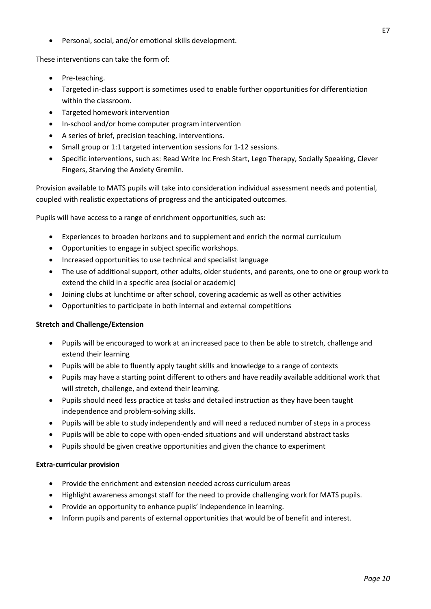Personal, social, and/or emotional skills development.

These interventions can take the form of:

- Pre-teaching.
- Targeted in-class support is sometimes used to enable further opportunities for differentiation within the classroom.
- Targeted homework intervention
- In-school and/or home computer program intervention
- A series of brief, precision teaching, interventions.
- Small group or 1:1 targeted intervention sessions for 1-12 sessions.
- Specific interventions, such as: Read Write Inc Fresh Start, Lego Therapy, Socially Speaking, Clever Fingers, Starving the Anxiety Gremlin.

Provision available to MATS pupils will take into consideration individual assessment needs and potential, coupled with realistic expectations of progress and the anticipated outcomes.

Pupils will have access to a range of enrichment opportunities, such as:

- Experiences to broaden horizons and to supplement and enrich the normal curriculum
- Opportunities to engage in subject specific workshops.
- Increased opportunities to use technical and specialist language
- The use of additional support, other adults, older students, and parents, one to one or group work to extend the child in a specific area (social or academic)
- Joining clubs at lunchtime or after school, covering academic as well as other activities
- Opportunities to participate in both internal and external competitions

#### **Stretch and Challenge/Extension**

- Pupils will be encouraged to work at an increased pace to then be able to stretch, challenge and extend their learning
- Pupils will be able to fluently apply taught skills and knowledge to a range of contexts
- Pupils may have a starting point different to others and have readily available additional work that will stretch, challenge, and extend their learning.
- Pupils should need less practice at tasks and detailed instruction as they have been taught independence and problem-solving skills.
- Pupils will be able to study independently and will need a reduced number of steps in a process
- Pupils will be able to cope with open-ended situations and will understand abstract tasks
- Pupils should be given creative opportunities and given the chance to experiment

#### **Extra-curricular provision**

- Provide the enrichment and extension needed across curriculum areas
- Highlight awareness amongst staff for the need to provide challenging work for MATS pupils.
- Provide an opportunity to enhance pupils' independence in learning.
- Inform pupils and parents of external opportunities that would be of benefit and interest.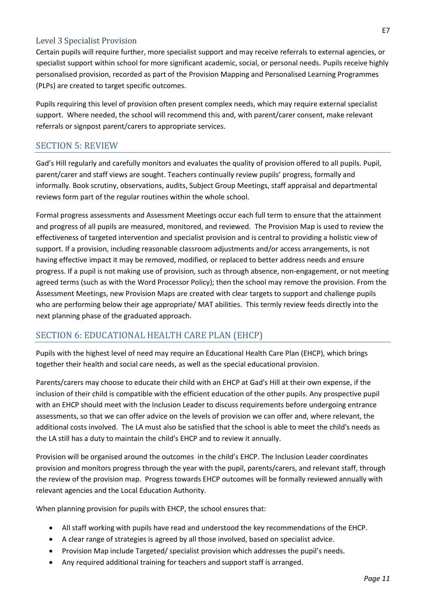#### Level 3 Specialist Provision

Certain pupils will require further, more specialist support and may receive referrals to external agencies, or specialist support within school for more significant academic, social, or personal needs. Pupils receive highly personalised provision, recorded as part of the Provision Mapping and Personalised Learning Programmes (PLPs) are created to target specific outcomes.

Pupils requiring this level of provision often present complex needs, which may require external specialist support. Where needed, the school will recommend this and, with parent/carer consent, make relevant referrals or signpost parent/carers to appropriate services.

### SECTION 5: REVIEW

Gad's Hill regularly and carefully monitors and evaluates the quality of provision offered to all pupils. Pupil, parent/carer and staff views are sought. Teachers continually review pupils' progress, formally and informally. Book scrutiny, observations, audits, Subject Group Meetings, staff appraisal and departmental reviews form part of the regular routines within the whole school.

Formal progress assessments and Assessment Meetings occur each full term to ensure that the attainment and progress of all pupils are measured, monitored, and reviewed. The Provision Map is used to review the effectiveness of targeted intervention and specialist provision and is central to providing a holistic view of support. If a provision, including reasonable classroom adjustments and/or access arrangements, is not having effective impact it may be removed, modified, or replaced to better address needs and ensure progress. If a pupil is not making use of provision, such as through absence, non-engagement, or not meeting agreed terms (such as with the Word Processor Policy); then the school may remove the provision. From the Assessment Meetings, new Provision Maps are created with clear targets to support and challenge pupils who are performing below their age appropriate/ MAT abilities. This termly review feeds directly into the next planning phase of the graduated approach.

#### SECTION 6: EDUCATIONAL HEALTH CARE PLAN (EHCP)

Pupils with the highest level of need may require an Educational Health Care Plan (EHCP), which brings together their health and social care needs, as well as the special educational provision.

Parents/carers may choose to educate their child with an EHCP at Gad's Hill at their own expense, if the inclusion of their child is compatible with the efficient education of the other pupils. Any prospective pupil with an EHCP should meet with the Inclusion Leader to discuss requirements before undergoing entrance assessments, so that we can offer advice on the levels of provision we can offer and, where relevant, the additional costs involved. The LA must also be satisfied that the school is able to meet the child's needs as the LA still has a duty to maintain the child's EHCP and to review it annually.

Provision will be organised around the outcomes in the child's EHCP. The Inclusion Leader coordinates provision and monitors progress through the year with the pupil, parents/carers, and relevant staff, through the review of the provision map. Progress towards EHCP outcomes will be formally reviewed annually with relevant agencies and the Local Education Authority.

When planning provision for pupils with EHCP, the school ensures that:

- All staff working with pupils have read and understood the key recommendations of the EHCP.
- A clear range of strategies is agreed by all those involved, based on specialist advice.
- Provision Map include Targeted/ specialist provision which addresses the pupil's needs.
- Any required additional training for teachers and support staff is arranged.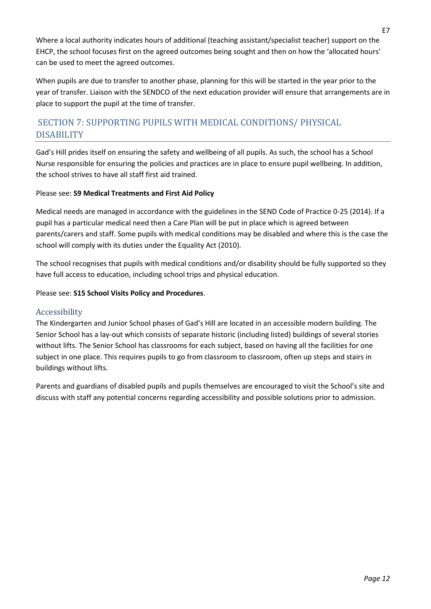Where a local authority indicates hours of additional (teaching assistant/specialist teacher) support on the EHCP, the school focuses first on the agreed outcomes being sought and then on how the 'allocated hours' can be used to meet the agreed outcomes.

When pupils are due to transfer to another phase, planning for this will be started in the year prior to the year of transfer. Liaison with the SENDCO of the next education provider will ensure that arrangements are in place to support the pupil at the time of transfer.

## SECTION 7: SUPPORTING PUPILS WITH MEDICAL CONDITIONS/ PHYSICAL DISABILITY

Gad's Hill prides itself on ensuring the safety and wellbeing of all pupils. As such, the school has a School Nurse responsible for ensuring the policies and practices are in place to ensure pupil wellbeing. In addition, the school strives to have all staff first aid trained.

#### Please see: **S9 Medical Treatments and First Aid Policy**

Medical needs are managed in accordance with the guidelines in the SEND Code of Practice 0-25 (2014). If a pupil has a particular medical need then a Care Plan will be put in place which is agreed between parents/carers and staff. Some pupils with medical conditions may be disabled and where this is the case the school will comply with its duties under the Equality Act (2010).

The school recognises that pupils with medical conditions and/or disability should be fully supported so they have full access to education, including school trips and physical education.

#### Please see: **S15 School Visits Policy and Procedures**.

#### Accessibility

The Kindergarten and Junior School phases of Gad's Hill are located in an accessible modern building. The Senior School has a lay-out which consists of separate historic (including listed) buildings of several stories without lifts. The Senior School has classrooms for each subject, based on having all the facilities for one subject in one place. This requires pupils to go from classroom to classroom, often up steps and stairs in buildings without lifts.

Parents and guardians of disabled pupils and pupils themselves are encouraged to visit the School's site and discuss with staff any potential concerns regarding accessibility and possible solutions prior to admission.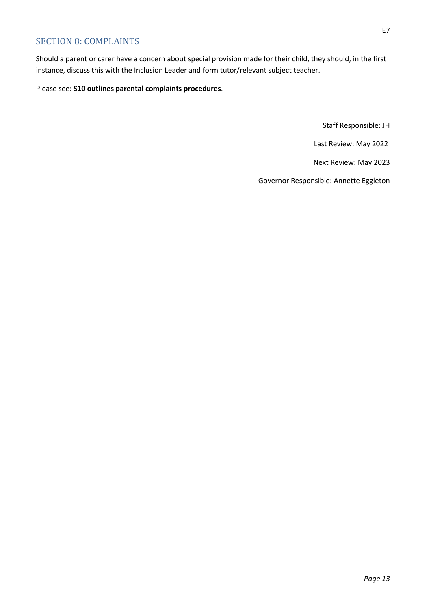Should a parent or carer have a concern about special provision made for their child, they should, in the first instance, discuss this with the Inclusion Leader and form tutor/relevant subject teacher.

Please see: **S10 outlines parental complaints procedures**.

Staff Responsible: JH

Last Review: May 2022

Next Review: May 2023

Governor Responsible: Annette Eggleton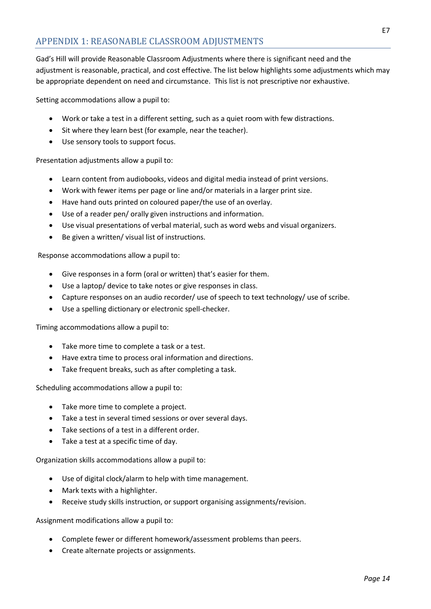Gad's Hill will provide Reasonable Classroom Adjustments where there is significant need and the adjustment is reasonable, practical, and cost effective. The list below highlights some adjustments which may be appropriate dependent on need and circumstance. This list is not prescriptive nor exhaustive.

Setting accommodations allow a pupil to:

- Work or take a test in a different setting, such as a quiet room with few distractions.
- Sit where they learn best (for example, near the teacher).
- Use sensory tools to support focus.

Presentation adjustments allow a pupil to:

- Learn content from audiobooks, videos and digital media instead of print versions.
- Work with fewer items per page or line and/or materials in a larger print size.
- Have hand outs printed on coloured paper/the use of an overlay.
- Use of a reader pen/ orally given instructions and information.
- Use visual presentations of verbal material, such as word webs and visual organizers.
- Be given a written/ visual list of instructions.

Response accommodations allow a pupil to:

- Give responses in a form (oral or written) that's easier for them.
- Use a laptop/ device to take notes or give responses in class.
- Capture responses on an audio recorder/ use of speech to text technology/ use of scribe.
- Use a spelling dictionary or electronic spell-checker.

Timing accommodations allow a pupil to:

- Take more time to complete a task or a test.
- Have extra time to process oral information and directions.
- Take frequent breaks, such as after completing a task.

Scheduling accommodations allow a pupil to:

- Take more time to complete a project.
- Take a test in several timed sessions or over several days.
- Take sections of a test in a different order.
- Take a test at a specific time of day.

Organization skills accommodations allow a pupil to:

- Use of digital clock/alarm to help with time management.
- Mark texts with a highlighter.
- Receive study skills instruction, or support organising assignments/revision.

Assignment modifications allow a pupil to:

- Complete fewer or different homework/assessment problems than peers.
- Create alternate projects or assignments.